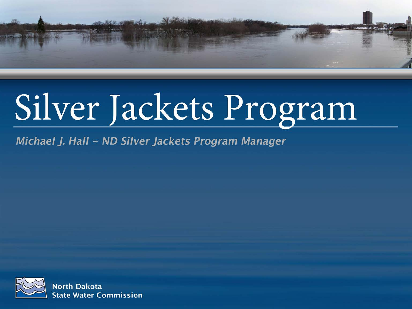

# Silver Jackets Program

Michael J. Hall - ND Silver Jackets Program Manager

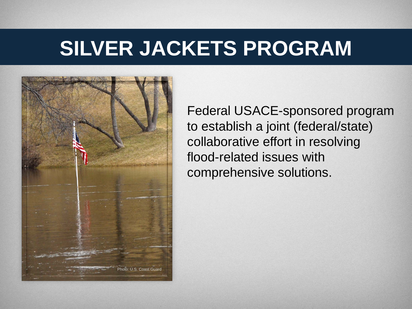

Federal USACE-sponsored program to establish a joint (federal/state) collaborative effort in resolving flood-related issues with comprehensive solutions.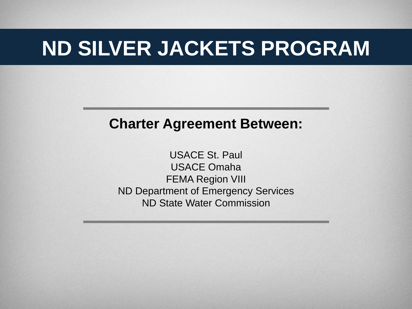#### **Charter Agreement Between:**

USACE St. Paul USACE Omaha FEMA Region VIII ND Department of Emergency Services ND State Water Commission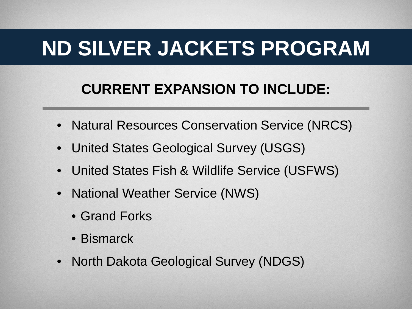#### **CURRENT EXPANSION TO INCLUDE:**

- Natural Resources Conservation Service (NRCS)
- United States Geological Survey (USGS)
- United States Fish & Wildlife Service (USFWS)
- National Weather Service (NWS)
	- Grand Forks
	- Bismarck
- North Dakota Geological Survey (NDGS)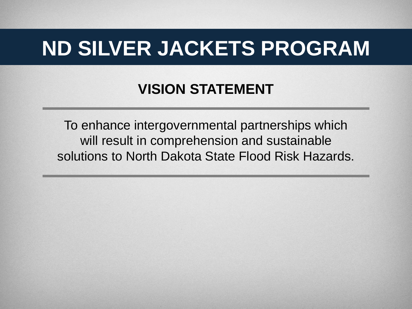#### **VISION STATEMENT**

To enhance intergovernmental partnerships which will result in comprehension and sustainable solutions to North Dakota State Flood Risk Hazards.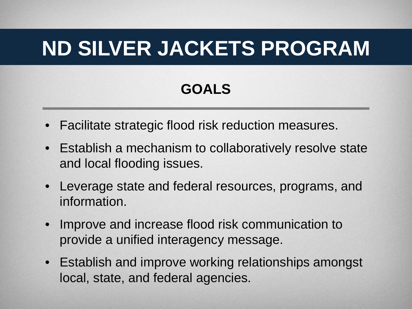#### **GOALS**

- Facilitate strategic flood risk reduction measures.
- Establish a mechanism to collaboratively resolve state and local flooding issues.
- Leverage state and federal resources, programs, and information.
- Improve and increase flood risk communication to provide a unified interagency message.
- Establish and improve working relationships amongst local, state, and federal agencies.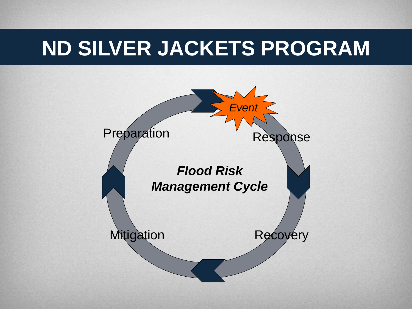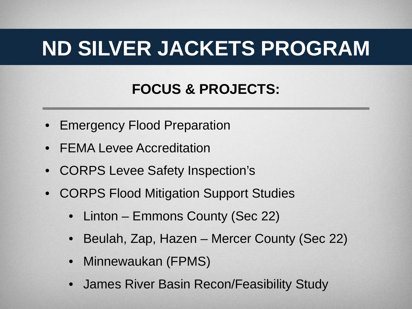#### **FOCUS & PROJECTS:**

- Emergency Flood Preparation
- FEMA Levee Accreditation
- CORPS Levee Safety Inspection's
- CORPS Flood Mitigation Support Studies
	- Linton Emmons County (Sec 22)
	- Beulah, Zap, Hazen Mercer County (Sec 22)
	- Minnewaukan (FPMS)
	- James River Basin Recon/Feasibility Study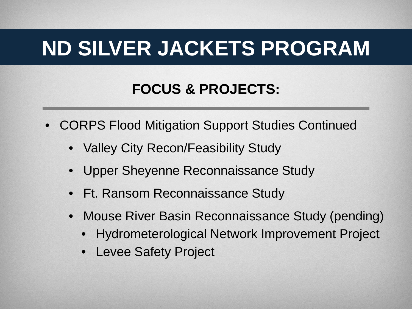#### **FOCUS & PROJECTS:**

- CORPS Flood Mitigation Support Studies Continued
	- Valley City Recon/Feasibility Study
	- Upper Sheyenne Reconnaissance Study
	- Ft. Ransom Reconnaissance Study
	- Mouse River Basin Reconnaissance Study (pending)
		- Hydrometerological Network Improvement Project
		- Levee Safety Project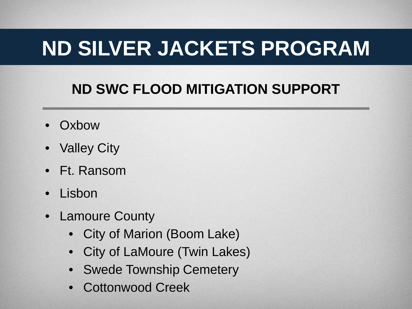#### **ND SWC FLOOD MITIGATION SUPPORT**

- Oxbow
- Valley City
- Ft. Ransom
- Lisbon
- Lamoure County
	- City of Marion (Boom Lake)
	- City of LaMoure (Twin Lakes)
	- Swede Township Cemetery
	- Cottonwood Creek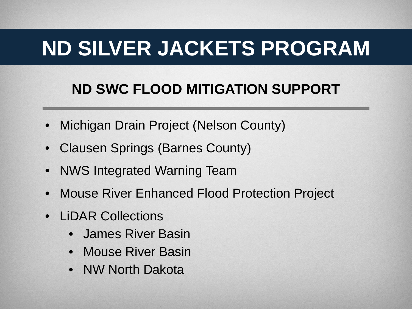#### **ND SWC FLOOD MITIGATION SUPPORT**

- Michigan Drain Project (Nelson County)
- Clausen Springs (Barnes County)
- NWS Integrated Warning Team
- Mouse River Enhanced Flood Protection Project
- LiDAR Collections
	- James River Basin
	- Mouse River Basin
	- NW North Dakota